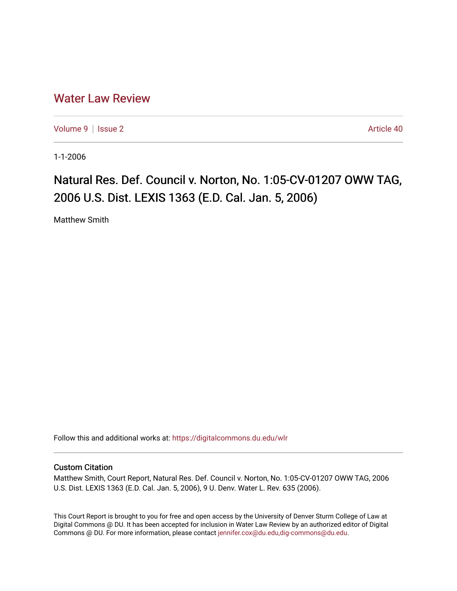## [Water Law Review](https://digitalcommons.du.edu/wlr)

[Volume 9](https://digitalcommons.du.edu/wlr/vol9) | [Issue 2](https://digitalcommons.du.edu/wlr/vol9/iss2) Article 40

1-1-2006

## Natural Res. Def. Council v. Norton, No. 1:05-CV-01207 OWW TAG, 2006 U.S. Dist. LEXIS 1363 (E.D. Cal. Jan. 5, 2006)

Matthew Smith

Follow this and additional works at: [https://digitalcommons.du.edu/wlr](https://digitalcommons.du.edu/wlr?utm_source=digitalcommons.du.edu%2Fwlr%2Fvol9%2Fiss2%2F40&utm_medium=PDF&utm_campaign=PDFCoverPages) 

## Custom Citation

Matthew Smith, Court Report, Natural Res. Def. Council v. Norton, No. 1:05-CV-01207 OWW TAG, 2006 U.S. Dist. LEXIS 1363 (E.D. Cal. Jan. 5, 2006), 9 U. Denv. Water L. Rev. 635 (2006).

This Court Report is brought to you for free and open access by the University of Denver Sturm College of Law at Digital Commons @ DU. It has been accepted for inclusion in Water Law Review by an authorized editor of Digital Commons @ DU. For more information, please contact [jennifer.cox@du.edu,dig-commons@du.edu.](mailto:jennifer.cox@du.edu,dig-commons@du.edu)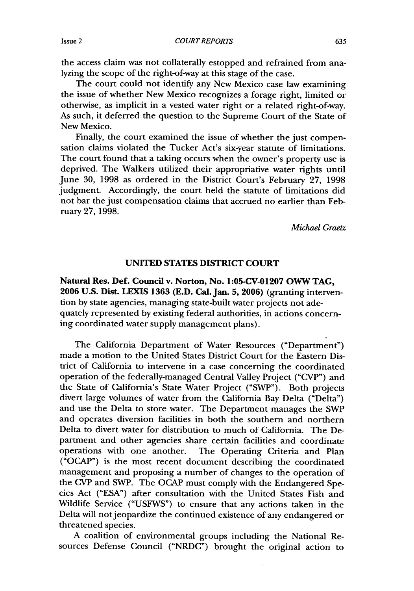the access claim was not collaterally estopped and refrained from analyzing the scope of the right-of-way at this stage of the case.

The court could not identify any New Mexico case law examining the issue of whether New Mexico recognizes a forage right, limited or otherwise, as implicit in a vested water right or a related right-of-way. As such, it deferred the question to the Supreme Court of the State of New Mexico.

Finally, the court examined the issue of whether the just compensation claims violated the Tucker Act's six-year statute of limitations. The court found that a taking occurs when the owner's property use is deprived. The Walkers utilized their appropriative water rights until June 30, 1998 as ordered in the District Court's February 27, 1998 judgment. Accordingly, the court held the statute of limitations did not bar the just compensation claims that accrued no earlier than February 27, 1998.

*Michael Graetz*

## **UNITED STATES DISTRICT COURT**

**Natural Res. Def. Council v. Norton, No. 1:05-CV-01207 OWW TAG, 2006 U.S. Dist. LEXIS 1363 (E.D. Cal. Jan. 5, 2006)** (granting intervention by state agencies, managing state-built water projects not adequately represented by existing federal authorities, in actions concerning coordinated water supply management plans).

The California Department of Water Resources ("Department") made a motion to the United States District Court for the Eastern District of California to intervene in a case concerning the coordinated operation of the federally-managed Central Valley Project ("CVP") and the State of California's State Water Project ("SWP"). Both projects divert large volumes of water from the California Bay Delta ("Delta") and use the Delta to store water. The Department manages the SWP and operates diversion facilities in both the southern and northern Delta to divert water for distribution to much of California. The Department and other agencies share certain facilities and coordinate operations with one another. The Operating Criteria and Plan ("OCAP") is the most recent document describing the coordinated management and proposing a number of changes to the operation of the CVP and SWP. The OCAP must comply with the Endangered Species Act ("ESA") after consultation with the United States Fish and Wildlife Service ("USFWS") to ensure that any actions taken in the Delta will not jeopardize the continued existence of any endangered or threatened species.

A coalition of environmental groups including the National Resources Defense Council ("NRDC") brought the original action to